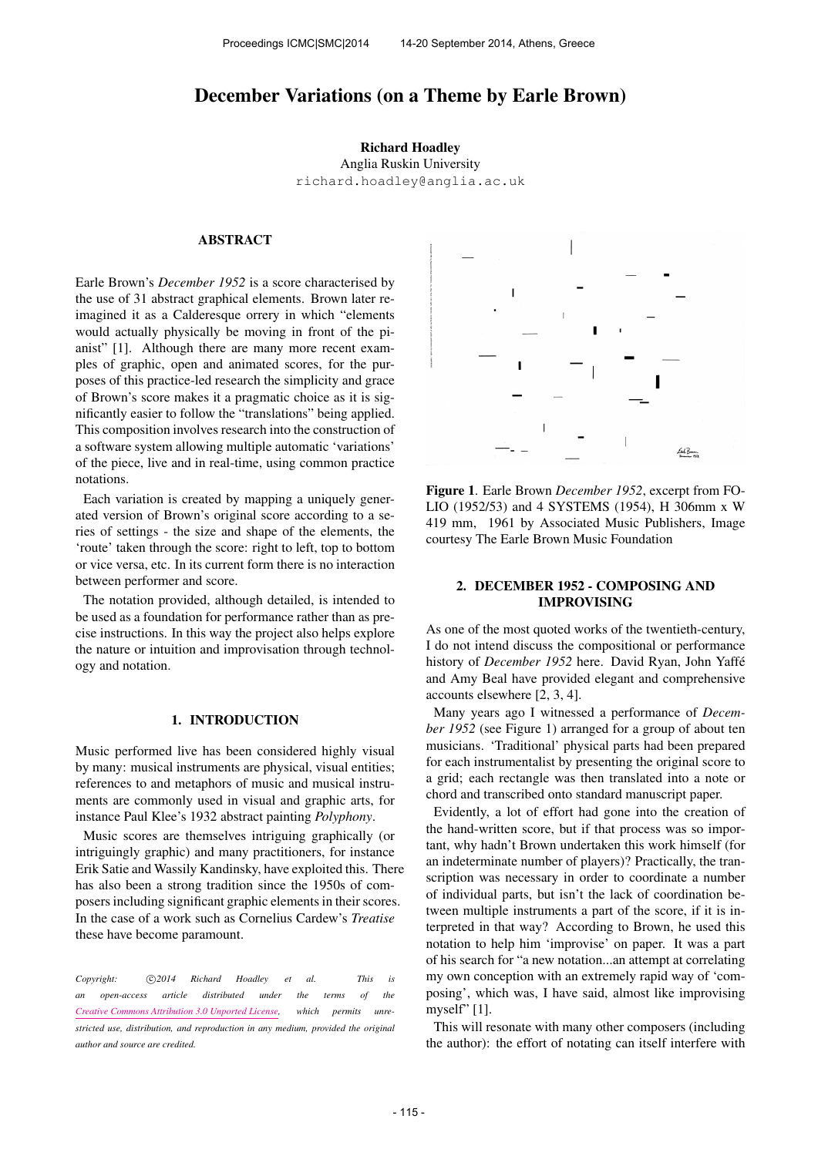# December Variations (on a Theme by Earle Brown)

#### Richard Hoadley

Anglia Ruskin University [richard.hoadley@anglia.ac.uk](mailto:richard.hoadley@anglia.ac.uk)

## ABSTRACT

Earle Brown's *December 1952* is a score characterised by the use of 31 abstract graphical elements. Brown later reimagined it as a Calderesque orrery in which "elements would actually physically be moving in front of the pianist" [1]. Although there are many more recent examples of graphic, open and animated scores, for the purposes of this practice-led research the simplicity and grace of Brown's score makes it a pragmatic choice as it is significantly easier to follow the "translations" being applied. This composition involves research into the construction of a software system allowing multiple automatic 'variations' of the piece, live and in real-time, using common practice notations.

Each variation is created by mapping a uniquely generated version of Brown's original score according to a series of settings - the size and shape of the elements, the 'route' taken through the score: right to left, top to bottom or vice versa, etc. In its current form there is no interaction between performer and score.

The notation provided, although detailed, is intended to be used as a foundation for performance rather than as precise instructions. In this way the project also helps explore the nature or intuition and improvisation through technology and notation.

## 1. INTRODUCTION

Music performed live has been considered highly visual by many: musical instruments are physical, visual entities; references to and metaphors of music and musical instruments are commonly used in visual and graphic arts, for instance Paul Klee's 1932 abstract painting *Polyphony*.

Music scores are themselves intriguing graphically (or intriguingly graphic) and many practitioners, for instance Erik Satie and Wassily Kandinsky, have exploited this. There has also been a strong tradition since the 1950s of composers including significant graphic elements in their scores. In the case of a work such as Cornelius Cardew's *Treatise* these have become paramount.

Copyright:  $\bigcirc$  2014 Richard Hoadley et al. This is *an open-access article distributed under the terms of the [Creative Commons Attribution 3.0 Unported License,](http://creativecommons.org/licenses/by/3.0/) which permits unrestricted use, distribution, and reproduction in any medium, provided the original author and source are credited.*



Figure 1. Earle Brown *December 1952*, excerpt from FO-LIO (1952/53) and 4 SYSTEMS (1954), H 306mm x W 419 mm, 1961 by Associated Music Publishers, Image courtesy The Earle Brown Music Foundation

## 2. DECEMBER 1952 - COMPOSING AND IMPROVISING

As one of the most quoted works of the twentieth-century, I do not intend discuss the compositional or performance history of *December 1952* here. David Ryan, John Yaffe´ and Amy Beal have provided elegant and comprehensive accounts elsewhere [2, 3, 4].

Many years ago I witnessed a performance of *December 1952* (see Figure 1) arranged for a group of about ten musicians. 'Traditional' physical parts had been prepared for each instrumentalist by presenting the original score to a grid; each rectangle was then translated into a note or chord and transcribed onto standard manuscript paper.

Evidently, a lot of effort had gone into the creation of the hand-written score, but if that process was so important, why hadn't Brown undertaken this work himself (for an indeterminate number of players)? Practically, the transcription was necessary in order to coordinate a number of individual parts, but isn't the lack of coordination between multiple instruments a part of the score, if it is interpreted in that way? According to Brown, he used this notation to help him 'improvise' on paper. It was a part of his search for "a new notation...an attempt at correlating my own conception with an extremely rapid way of 'composing', which was, I have said, almost like improvising myself" [1].

This will resonate with many other composers (including the author): the effort of notating can itself interfere with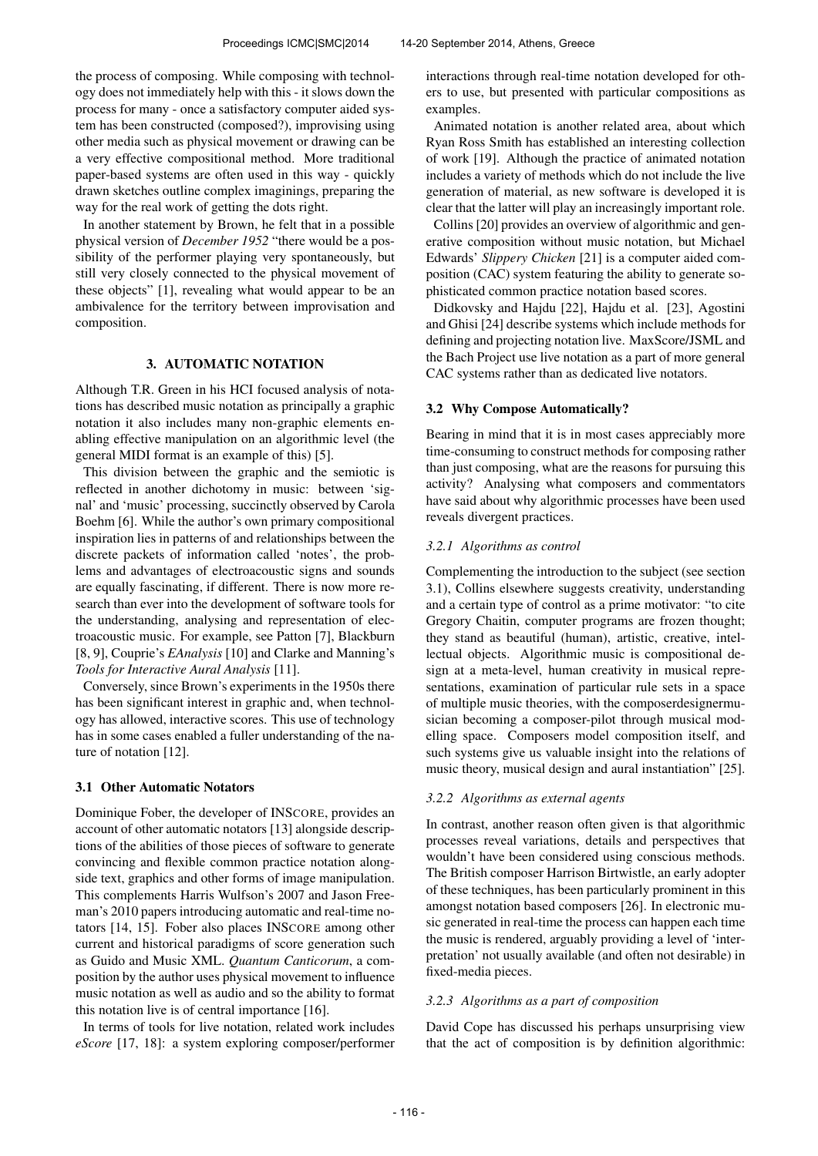the process of composing. While composing with technology does not immediately help with this - it slows down the process for many - once a satisfactory computer aided system has been constructed (composed?), improvising using other media such as physical movement or drawing can be a very effective compositional method. More traditional paper-based systems are often used in this way - quickly drawn sketches outline complex imaginings, preparing the way for the real work of getting the dots right.

In another statement by Brown, he felt that in a possible physical version of *December 1952* "there would be a possibility of the performer playing very spontaneously, but still very closely connected to the physical movement of these objects" [1], revealing what would appear to be an ambivalence for the territory between improvisation and composition.

## 3. AUTOMATIC NOTATION

Although T.R. Green in his HCI focused analysis of notations has described music notation as principally a graphic notation it also includes many non-graphic elements enabling effective manipulation on an algorithmic level (the general MIDI format is an example of this) [5].

This division between the graphic and the semiotic is reflected in another dichotomy in music: between 'signal' and 'music' processing, succinctly observed by Carola Boehm [6]. While the author's own primary compositional inspiration lies in patterns of and relationships between the discrete packets of information called 'notes', the problems and advantages of electroacoustic signs and sounds are equally fascinating, if different. There is now more research than ever into the development of software tools for the understanding, analysing and representation of electroacoustic music. For example, see Patton [7], Blackburn [8, 9], Couprie's *EAnalysis* [10] and Clarke and Manning's *Tools for Interactive Aural Analysis* [11].

Conversely, since Brown's experiments in the 1950s there has been significant interest in graphic and, when technology has allowed, interactive scores. This use of technology has in some cases enabled a fuller understanding of the nature of notation [12].

## 3.1 Other Automatic Notators

Dominique Fober, the developer of INSCORE, provides an account of other automatic notators [13] alongside descriptions of the abilities of those pieces of software to generate convincing and flexible common practice notation alongside text, graphics and other forms of image manipulation. This complements Harris Wulfson's 2007 and Jason Freeman's 2010 papers introducing automatic and real-time notators [14, 15]. Fober also places INSCORE among other current and historical paradigms of score generation such as Guido and Music XML. *Quantum Canticorum*, a composition by the author uses physical movement to influence music notation as well as audio and so the ability to format this notation live is of central importance [16].

In terms of tools for live notation, related work includes *eScore* [17, 18]: a system exploring composer/performer interactions through real-time notation developed for others to use, but presented with particular compositions as examples.

Animated notation is another related area, about which Ryan Ross Smith has established an interesting collection of work [19]. Although the practice of animated notation includes a variety of methods which do not include the live generation of material, as new software is developed it is clear that the latter will play an increasingly important role.

Collins [20] provides an overview of algorithmic and generative composition without music notation, but Michael Edwards' *Slippery Chicken* [21] is a computer aided composition (CAC) system featuring the ability to generate sophisticated common practice notation based scores.

Didkovsky and Hajdu [22], Hajdu et al. [23], Agostini and Ghisi [24] describe systems which include methods for defining and projecting notation live. MaxScore/JSML and the Bach Project use live notation as a part of more general CAC systems rather than as dedicated live notators.

#### 3.2 Why Compose Automatically?

Bearing in mind that it is in most cases appreciably more time-consuming to construct methods for composing rather than just composing, what are the reasons for pursuing this activity? Analysing what composers and commentators have said about why algorithmic processes have been used reveals divergent practices.

### *3.2.1 Algorithms as control*

Complementing the introduction to the subject (see section 3.1), Collins elsewhere suggests creativity, understanding and a certain type of control as a prime motivator: "to cite Gregory Chaitin, computer programs are frozen thought; they stand as beautiful (human), artistic, creative, intellectual objects. Algorithmic music is compositional design at a meta-level, human creativity in musical representations, examination of particular rule sets in a space of multiple music theories, with the composerdesignermusician becoming a composer-pilot through musical modelling space. Composers model composition itself, and such systems give us valuable insight into the relations of music theory, musical design and aural instantiation" [25].

### *3.2.2 Algorithms as external agents*

In contrast, another reason often given is that algorithmic processes reveal variations, details and perspectives that wouldn't have been considered using conscious methods. The British composer Harrison Birtwistle, an early adopter of these techniques, has been particularly prominent in this amongst notation based composers [26]. In electronic music generated in real-time the process can happen each time the music is rendered, arguably providing a level of 'interpretation' not usually available (and often not desirable) in fixed-media pieces.

#### *3.2.3 Algorithms as a part of composition*

David Cope has discussed his perhaps unsurprising view that the act of composition is by definition algorithmic: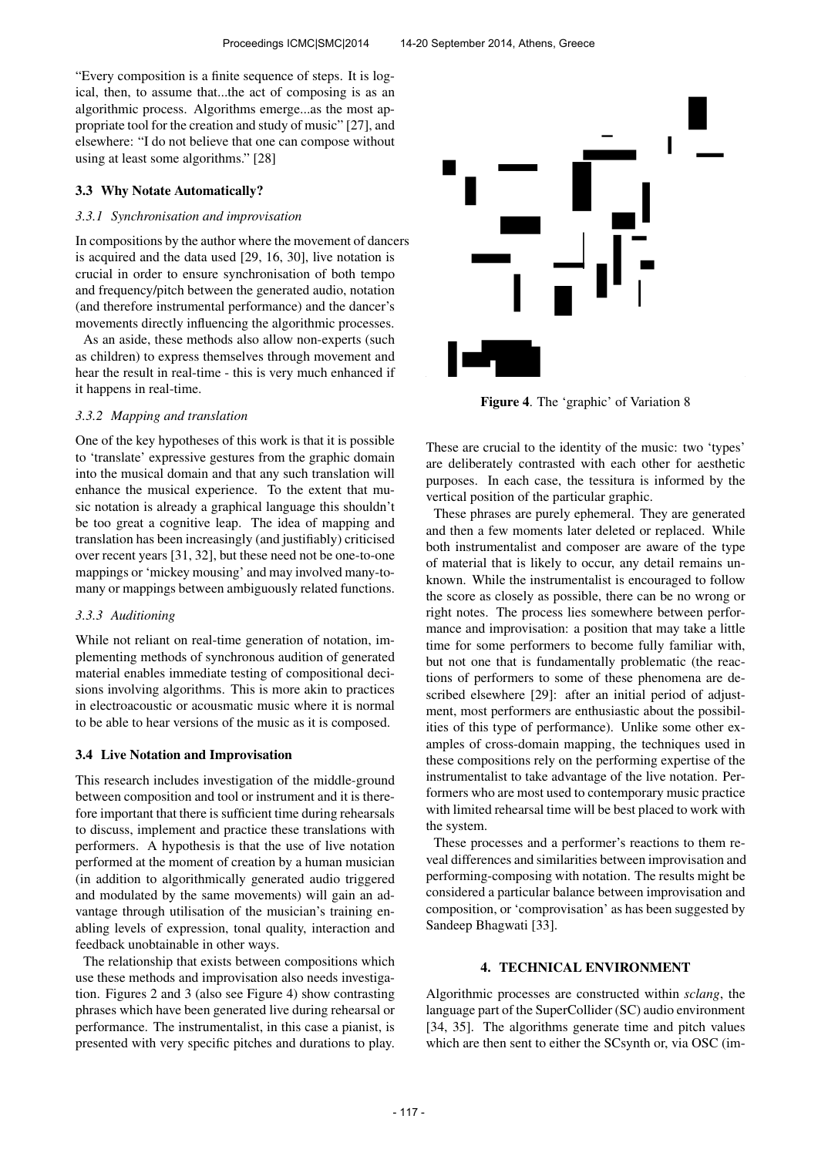"Every composition is a finite sequence of steps. It is logical, then, to assume that...the act of composing is as an algorithmic process. Algorithms emerge...as the most appropriate tool for the creation and study of music" [27], and elsewhere: "I do not believe that one can compose without using at least some algorithms." [28]

### 3.3 Why Notate Automatically?

## *3.3.1 Synchronisation and improvisation*

In compositions by the author where the movement of dancers is acquired and the data used [29, 16, 30], live notation is crucial in order to ensure synchronisation of both tempo and frequency/pitch between the generated audio, notation (and therefore instrumental performance) and the dancer's movements directly influencing the algorithmic processes.

As an aside, these methods also allow non-experts (such as children) to express themselves through movement and hear the result in real-time - this is very much enhanced if it happens in real-time.

## *3.3.2 Mapping and translation*

One of the key hypotheses of this work is that it is possible to 'translate' expressive gestures from the graphic domain into the musical domain and that any such translation will enhance the musical experience. To the extent that music notation is already a graphical language this shouldn't be too great a cognitive leap. The idea of mapping and translation has been increasingly (and justifiably) criticised over recent years [31, 32], but these need not be one-to-one mappings or 'mickey mousing' and may involved many-tomany or mappings between ambiguously related functions.

#### *3.3.3 Auditioning*

While not reliant on real-time generation of notation, implementing methods of synchronous audition of generated material enables immediate testing of compositional decisions involving algorithms. This is more akin to practices in electroacoustic or acousmatic music where it is normal to be able to hear versions of the music as it is composed.

## 3.4 Live Notation and Improvisation

This research includes investigation of the middle-ground between composition and tool or instrument and it is therefore important that there is sufficient time during rehearsals to discuss, implement and practice these translations with performers. A hypothesis is that the use of live notation performed at the moment of creation by a human musician (in addition to algorithmically generated audio triggered and modulated by the same movements) will gain an advantage through utilisation of the musician's training enabling levels of expression, tonal quality, interaction and feedback unobtainable in other ways.

The relationship that exists between compositions which use these methods and improvisation also needs investigation. Figures 2 and 3 (also see Figure 4) show contrasting phrases which have been generated live during rehearsal or performance. The instrumentalist, in this case a pianist, is presented with very specific pitches and durations to play.



Figure 4. The 'graphic' of Variation 8

These are crucial to the identity of the music: two 'types' are deliberately contrasted with each other for aesthetic purposes. In each case, the tessitura is informed by the vertical position of the particular graphic.

These phrases are purely ephemeral. They are generated and then a few moments later deleted or replaced. While both instrumentalist and composer are aware of the type of material that is likely to occur, any detail remains unknown. While the instrumentalist is encouraged to follow the score as closely as possible, there can be no wrong or right notes. The process lies somewhere between performance and improvisation: a position that may take a little time for some performers to become fully familiar with, but not one that is fundamentally problematic (the reactions of performers to some of these phenomena are described elsewhere [29]: after an initial period of adjustment, most performers are enthusiastic about the possibilities of this type of performance). Unlike some other examples of cross-domain mapping, the techniques used in these compositions rely on the performing expertise of the instrumentalist to take advantage of the live notation. Performers who are most used to contemporary music practice with limited rehearsal time will be best placed to work with the system.

These processes and a performer's reactions to them reveal differences and similarities between improvisation and performing-composing with notation. The results might be considered a particular balance between improvisation and composition, or 'comprovisation' as has been suggested by Sandeep Bhagwati [33].

## 4. TECHNICAL ENVIRONMENT

Algorithmic processes are constructed within *sclang*, the language part of the SuperCollider (SC) audio environment [34, 35]. The algorithms generate time and pitch values which are then sent to either the SCsynth or, via OSC (im-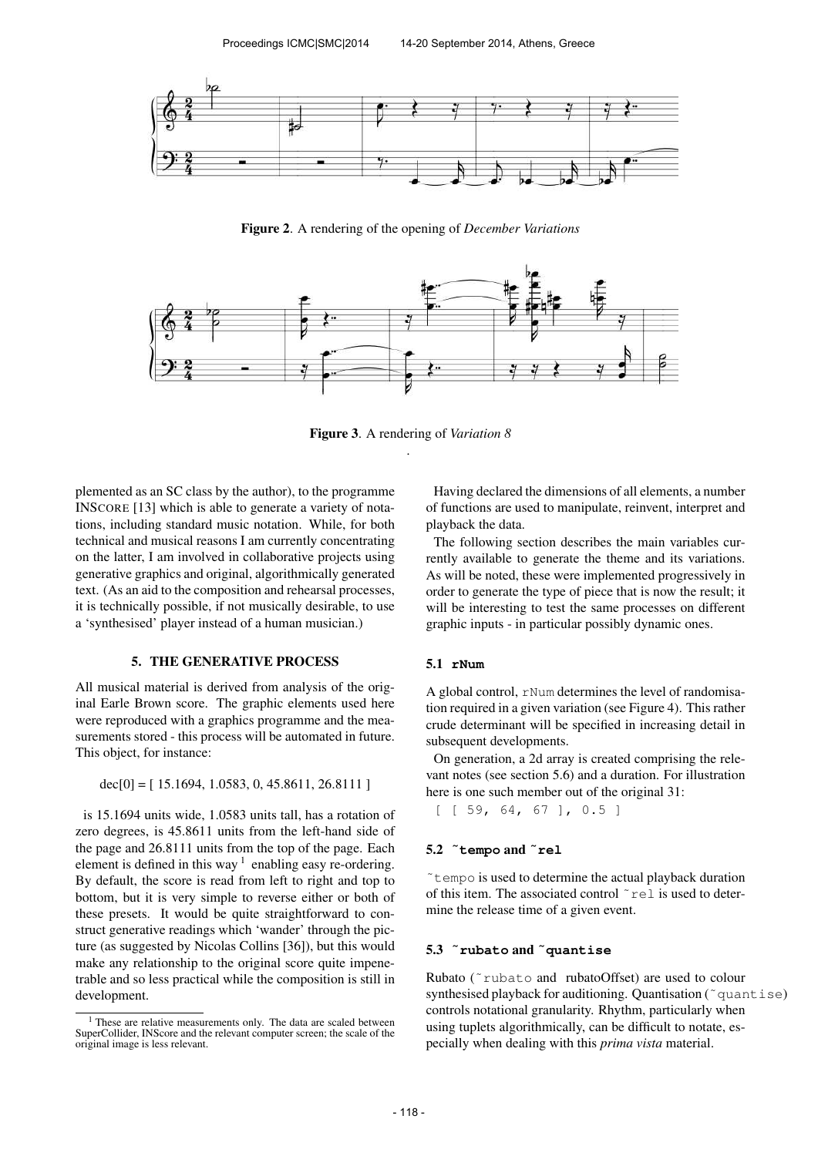

Figure 2. A rendering of the opening of *December Variations*



Figure 3. A rendering of *Variation 8* .

plemented as an SC class by the author), to the programme INSCORE [13] which is able to generate a variety of notations, including standard music notation. While, for both technical and musical reasons I am currently concentrating on the latter, I am involved in collaborative projects using generative graphics and original, algorithmically generated text. (As an aid to the composition and rehearsal processes, it is technically possible, if not musically desirable, to use a 'synthesised' player instead of a human musician.)

## 5. THE GENERATIVE PROCESS

All musical material is derived from analysis of the original Earle Brown score. The graphic elements used here were reproduced with a graphics programme and the measurements stored - this process will be automated in future. This object, for instance:

 $dec[0] = [15.1694, 1.0583, 0, 45.8611, 26.8111]$ 

is 15.1694 units wide, 1.0583 units tall, has a rotation of zero degrees, is 45.8611 units from the left-hand side of the page and 26.8111 units from the top of the page. Each element is defined in this way  $1$  enabling easy re-ordering. By default, the score is read from left to right and top to bottom, but it is very simple to reverse either or both of these presets. It would be quite straightforward to construct generative readings which 'wander' through the picture (as suggested by Nicolas Collins [36]), but this would make any relationship to the original score quite impenetrable and so less practical while the composition is still in development.

Having declared the dimensions of all elements, a number of functions are used to manipulate, reinvent, interpret and playback the data.

The following section describes the main variables currently available to generate the theme and its variations. As will be noted, these were implemented progressively in order to generate the type of piece that is now the result; it will be interesting to test the same processes on different graphic inputs - in particular possibly dynamic ones.

### 5.1 **rNum**

A global control, rNum determines the level of randomisation required in a given variation (see Figure 4). This rather crude determinant will be specified in increasing detail in subsequent developments.

On generation, a 2d array is created comprising the relevant notes (see section 5.6) and a duration. For illustration here is one such member out of the original 31:

[ [ 59, 64, 67 ], 0.5 ]

## 5.2 **˜tempo** and **˜rel**

˜tempo is used to determine the actual playback duration of this item. The associated control ˜rel is used to determine the release time of a given event.

#### 5.3 **˜rubato** and **˜quantise**

Rubato (˜rubato and rubatoOffset) are used to colour synthesised playback for auditioning. Quantisation (~quantise) controls notational granularity. Rhythm, particularly when using tuplets algorithmically, can be difficult to notate, especially when dealing with this *prima vista* material.

<sup>&</sup>lt;sup>1</sup> These are relative measurements only. The data are scaled between SuperCollider, INScore and the relevant computer screen; the scale of the original image is less relevant.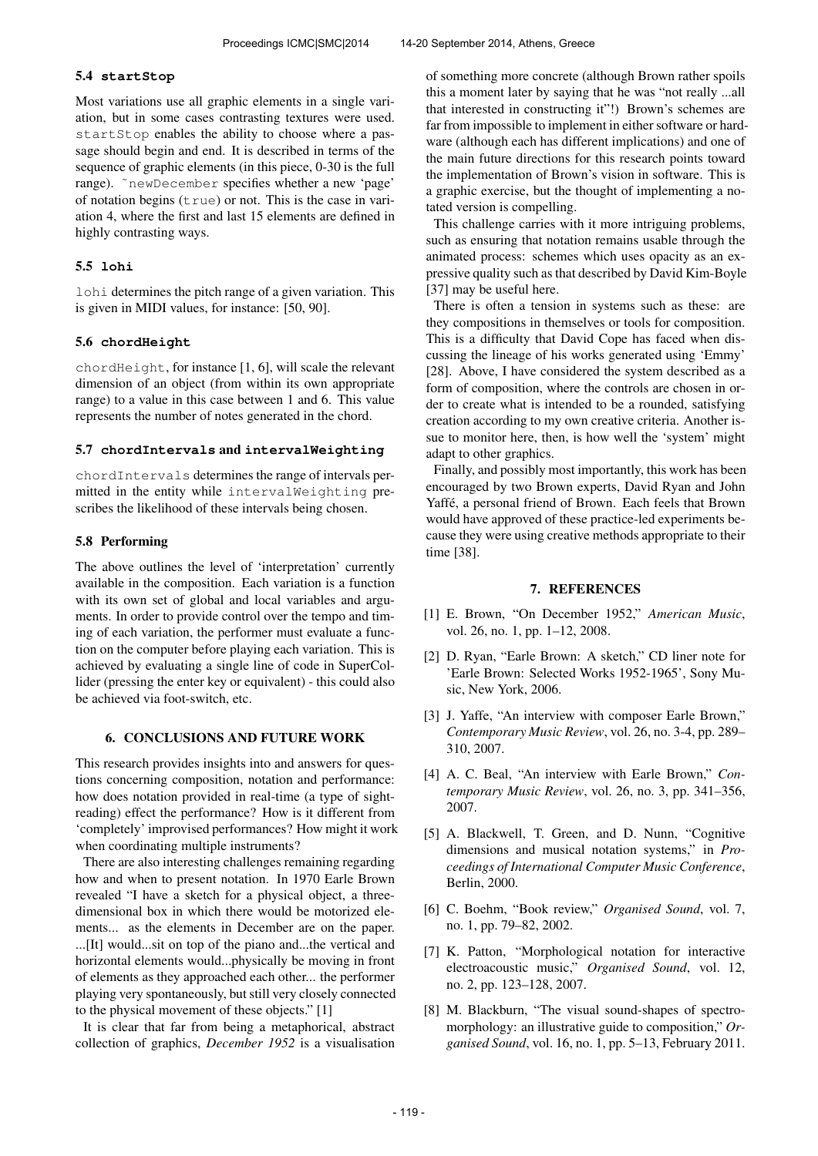#### 5.4 **startStop**

Most variations use all graphic elements in a single variation, but in some cases contrasting textures were used. startStop enables the ability to choose where a passage should begin and end. It is described in terms of the sequence of graphic elements (in this piece, 0-30 is the full range). ˜newDecember specifies whether a new 'page' of notation begins  $(\text{true})$  or not. This is the case in variation 4, where the first and last 15 elements are defined in highly contrasting ways.

## 5.5 **lohi**

lohi determines the pitch range of a given variation. This is given in MIDI values, for instance: [50, 90].

## 5.6 **chordHeight**

chordHeight, for instance [1, 6], will scale the relevant dimension of an object (from within its own appropriate range) to a value in this case between 1 and 6. This value represents the number of notes generated in the chord.

### 5.7 **chordIntervals** and **intervalWeighting**

chordIntervals determines the range of intervals permitted in the entity while intervalWeighting prescribes the likelihood of these intervals being chosen.

#### 5.8 Performing

The above outlines the level of 'interpretation' currently available in the composition. Each variation is a function with its own set of global and local variables and arguments. In order to provide control over the tempo and timing of each variation, the performer must evaluate a function on the computer before playing each variation. This is achieved by evaluating a single line of code in SuperCollider (pressing the enter key or equivalent) - this could also be achieved via foot-switch, etc.

## 6. CONCLUSIONS AND FUTURE WORK

This research provides insights into and answers for questions concerning composition, notation and performance: how does notation provided in real-time (a type of sightreading) effect the performance? How is it different from 'completely' improvised performances? How might it work when coordinating multiple instruments?

There are also interesting challenges remaining regarding how and when to present notation. In 1970 Earle Brown revealed "I have a sketch for a physical object, a threedimensional box in which there would be motorized elements... as the elements in December are on the paper. ...[It] would...sit on top of the piano and...the vertical and horizontal elements would...physically be moving in front of elements as they approached each other... the performer playing very spontaneously, but still very closely connected to the physical movement of these objects." [1]

It is clear that far from being a metaphorical, abstract collection of graphics, *December 1952* is a visualisation of something more concrete (although Brown rather spoils this a moment later by saying that he was "not really ...all that interested in constructing it"!) Brown's schemes are far from impossible to implement in either software or hardware (although each has different implications) and one of the main future directions for this research points toward the implementation of Brown's vision in software. This is a graphic exercise, but the thought of implementing a notated version is compelling.

This challenge carries with it more intriguing problems, such as ensuring that notation remains usable through the animated process: schemes which uses opacity as an expressive quality such as that described by David Kim-Boyle [37] may be useful here.

There is often a tension in systems such as these: are they compositions in themselves or tools for composition. This is a difficulty that David Cope has faced when discussing the lineage of his works generated using 'Emmy' [28]. Above, I have considered the system described as a form of composition, where the controls are chosen in order to create what is intended to be a rounded, satisfying creation according to my own creative criteria. Another issue to monitor here, then, is how well the 'system' might adapt to other graphics.

Finally, and possibly most importantly, this work has been encouraged by two Brown experts, David Ryan and John Yaffé, a personal friend of Brown. Each feels that Brown would have approved of these practice-led experiments because they were using creative methods appropriate to their time [38].

### 7. REFERENCES

- [1] E. Brown, "On December 1952," *American Music*, vol. 26, no. 1, pp. 1–12, 2008.
- [2] D. Ryan, "Earle Brown: A sketch," CD liner note for 'Earle Brown: Selected Works 1952-1965', Sony Music, New York, 2006.
- [3] J. Yaffe, "An interview with composer Earle Brown," *Contemporary Music Review*, vol. 26, no. 3-4, pp. 289– 310, 2007.
- [4] A. C. Beal, "An interview with Earle Brown," *Contemporary Music Review*, vol. 26, no. 3, pp. 341–356, 2007.
- [5] A. Blackwell, T. Green, and D. Nunn, "Cognitive dimensions and musical notation systems," in *Proceedings of International Computer Music Conference*, Berlin, 2000.
- [6] C. Boehm, "Book review," *Organised Sound*, vol. 7, no. 1, pp. 79–82, 2002.
- [7] K. Patton, "Morphological notation for interactive electroacoustic music," *Organised Sound*, vol. 12, no. 2, pp. 123–128, 2007.
- [8] M. Blackburn, "The visual sound-shapes of spectromorphology: an illustrative guide to composition," *Organised Sound*, vol. 16, no. 1, pp. 5–13, February 2011.